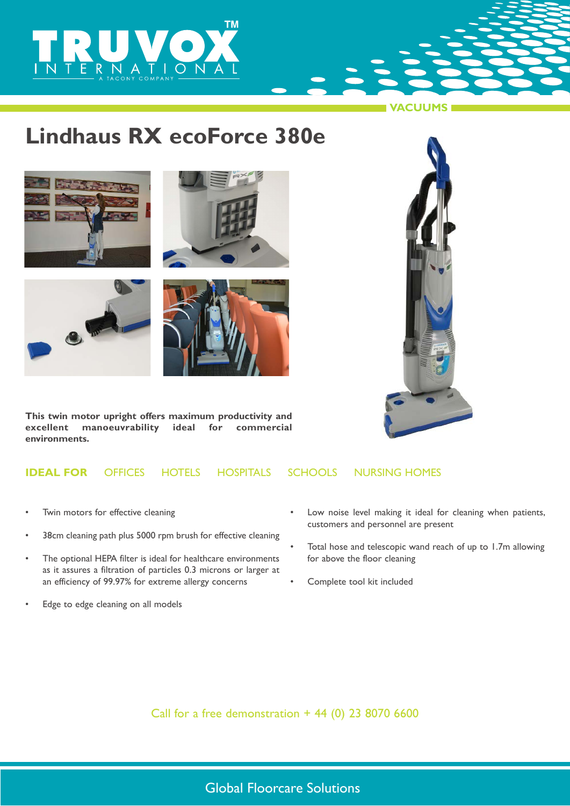

# **Lindhaus RX ecoForce 380e**









**This twin motor upright offers maximum productivity and excellent manoeuvrability ideal for commercial environments.**



**VACUUMS**

### **IDEAL FOR** OFFICESHOTELSHOSPITALSSCHOOLSNURSING HOMES

- Twin motors for effective cleaning
- 38cm cleaning path plus 5000 rpm brush for effective cleaning
- The optional HEPA filter is ideal for healthcare environments as it assures a filtration of particles 0.3 microns or larger at an efficiency of 99.97% for extreme allergy concerns
- Edge to edge cleaning on all models
- Low noise level making it ideal for cleaning when patients, customers and personnel are present
- Total hose and telescopic wand reach of up to 1.7m allowing for above the floor cleaning
- Complete tool kit included

Call for a free demonstration  $+ 44$  (0) 23 8070 6600

## Global Floorcare Solutions